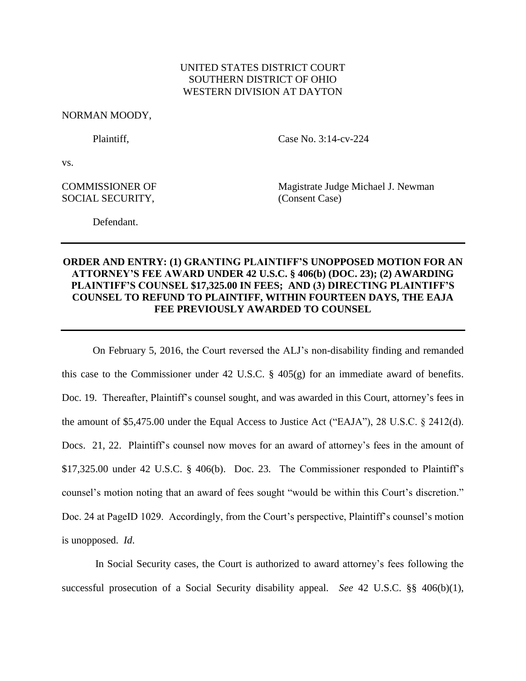## UNITED STATES DISTRICT COURT SOUTHERN DISTRICT OF OHIO WESTERN DIVISION AT DAYTON

NORMAN MOODY,

Plaintiff. Case No. 3:14-cv-224

vs.

SOCIAL SECURITY, (Consent Case)

COMMISSIONER OF Magistrate Judge Michael J. Newman

Defendant.

## **ORDER AND ENTRY: (1) GRANTING PLAINTIFF'S UNOPPOSED MOTION FOR AN ATTORNEY'S FEE AWARD UNDER 42 U.S.C. § 406(b) (DOC. 23); (2) AWARDING PLAINTIFF'S COUNSEL \$17,325.00 IN FEES; AND (3) DIRECTING PLAINTIFF'S COUNSEL TO REFUND TO PLAINTIFF, WITHIN FOURTEEN DAYS, THE EAJA FEE PREVIOUSLY AWARDED TO COUNSEL**

On February 5, 2016, the Court reversed the ALJ's non-disability finding and remanded this case to the Commissioner under 42 U.S.C.  $\S$  405(g) for an immediate award of benefits. Doc. 19. Thereafter, Plaintiff's counsel sought, and was awarded in this Court, attorney's fees in the amount of \$5,475.00 under the Equal Access to Justice Act ("EAJA"), 28 U.S.C. § 2412(d). Docs. 21, 22. Plaintiff's counsel now moves for an award of attorney's fees in the amount of \$17,325.00 under 42 U.S.C. § 406(b). Doc. 23. The Commissioner responded to Plaintiff's counsel's motion noting that an award of fees sought "would be within this Court's discretion." Doc. 24 at PageID 1029. Accordingly, from the Court's perspective, Plaintiff's counsel's motion is unopposed. *Id*.

In Social Security cases, the Court is authorized to award attorney's fees following the successful prosecution of a Social Security disability appeal. *See* 42 U.S.C. §§ 406(b)(1),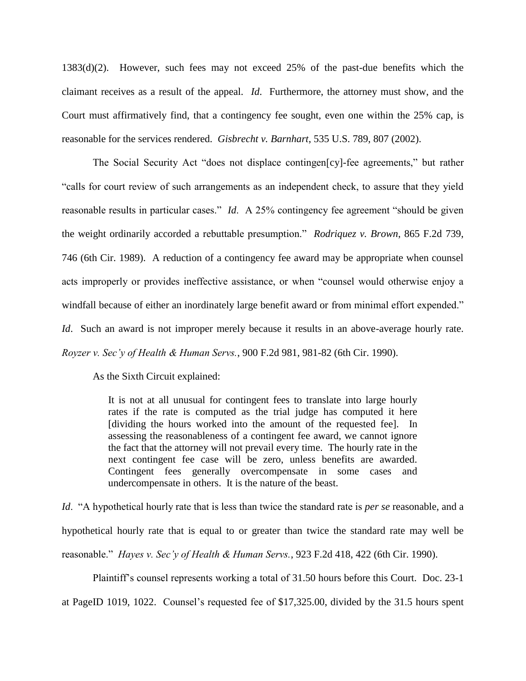1383(d)(2). However, such fees may not exceed 25% of the past-due benefits which the claimant receives as a result of the appeal. *Id*. Furthermore, the attorney must show, and the Court must affirmatively find, that a contingency fee sought, even one within the 25% cap, is reasonable for the services rendered. *Gisbrecht v. Barnhart*, 535 U.S. 789, 807 (2002).

The Social Security Act "does not displace contingen[cy]-fee agreements," but rather "calls for court review of such arrangements as an independent check, to assure that they yield reasonable results in particular cases." *Id*. A 25% contingency fee agreement "should be given the weight ordinarily accorded a rebuttable presumption." *Rodriquez v. Brown*, 865 F.2d 739, 746 (6th Cir. 1989). A reduction of a contingency fee award may be appropriate when counsel acts improperly or provides ineffective assistance, or when "counsel would otherwise enjoy a windfall because of either an inordinately large benefit award or from minimal effort expended." *Id.* Such an award is not improper merely because it results in an above-average hourly rate. *Royzer v. Sec'y of Health & Human Servs.*, 900 F.2d 981, 981-82 (6th Cir. 1990).

As the Sixth Circuit explained:

It is not at all unusual for contingent fees to translate into large hourly rates if the rate is computed as the trial judge has computed it here [dividing the hours worked into the amount of the requested fee]. In assessing the reasonableness of a contingent fee award, we cannot ignore the fact that the attorney will not prevail every time. The hourly rate in the next contingent fee case will be zero, unless benefits are awarded. Contingent fees generally overcompensate in some cases and undercompensate in others. It is the nature of the beast.

*Id*. "A hypothetical hourly rate that is less than twice the standard rate is *per se* reasonable, and a hypothetical hourly rate that is equal to or greater than twice the standard rate may well be reasonable." *Hayes v. Sec'y of Health & Human Servs.*, 923 F.2d 418, 422 (6th Cir. 1990).

Plaintiff's counsel represents working a total of 31.50 hours before this Court. Doc. 23-1 at PageID 1019, 1022. Counsel's requested fee of \$17,325.00, divided by the 31.5 hours spent